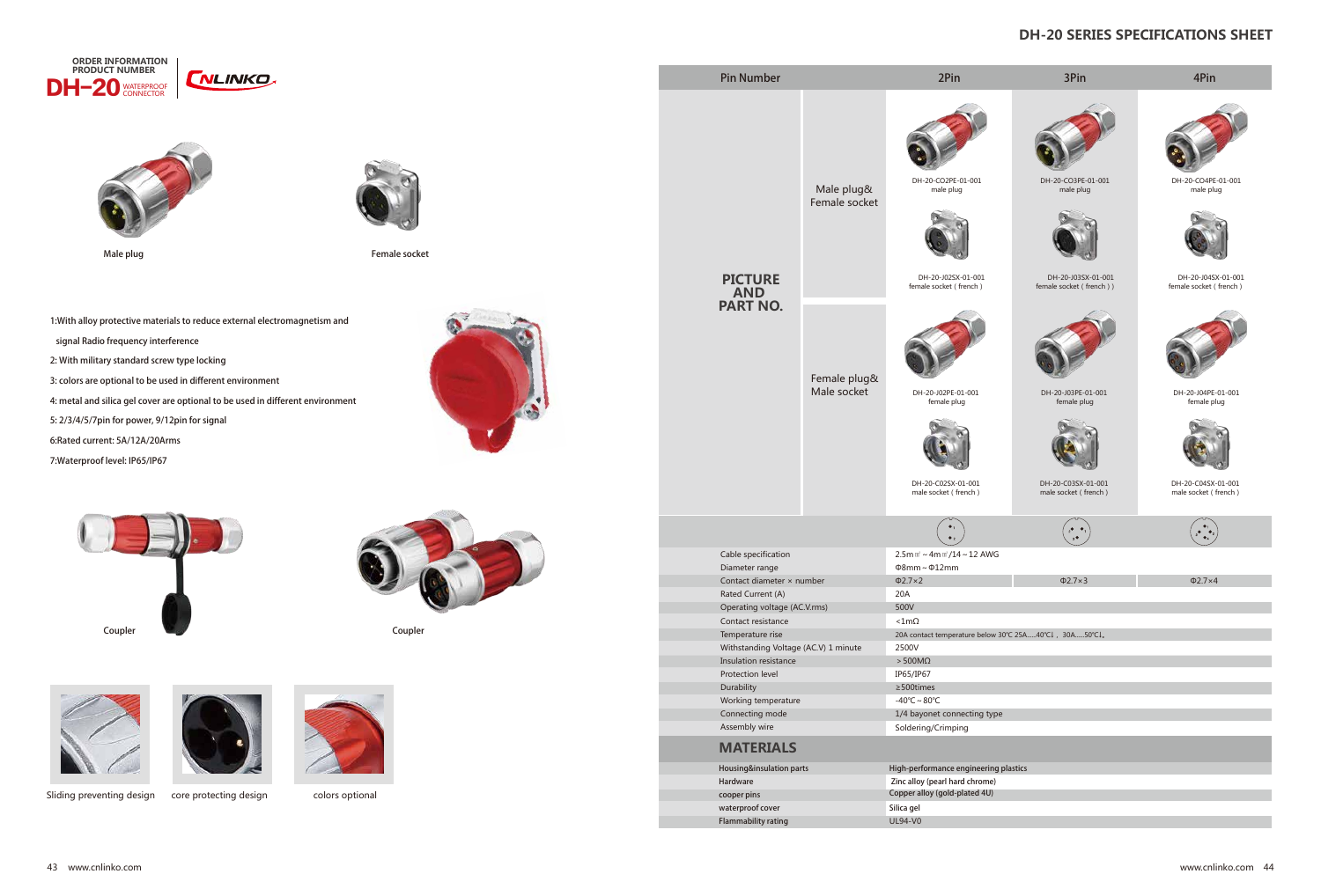



Male plug Female socket

1:With alloy protective materials to reduce external electromagnetism and signal Radio frequency interference 2: With military standard screw type locking 3: colors are optional to be used in different environment 4: metal and silica gel cover are optional to be used in different environment 5: 2/3/4/5/7pin for power, 9/12pin for signal 6:Rated current: 5A/12A/20Arms

7:Waterproof level: IP65/IP67



## **DH-20 SERIES SPECIFICATIONS SHEET**











Sliding preventing design core protecting design colors optional